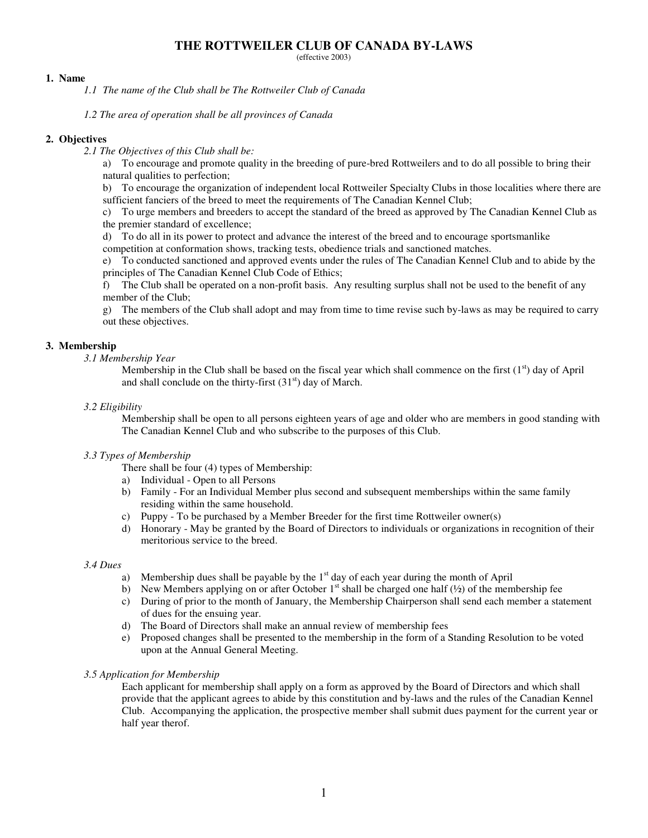(effective 2003)

### **1. Name**

*1.1 The name of the Club shall be The Rottweiler Club of Canada*

*1.2 The area of operation shall be all provinces of Canada*

## **2. Objectives**

*2.1 The Objectives of this Club shall be:*

a) To encourage and promote quality in the breeding of pure-bred Rottweilers and to do all possible to bring their natural qualities to perfection;

b) To encourage the organization of independent local Rottweiler Specialty Clubs in those localities where there are sufficient fanciers of the breed to meet the requirements of The Canadian Kennel Club;

c) To urge members and breeders to accept the standard of the breed as approved by The Canadian Kennel Club as the premier standard of excellence;

d) To do all in its power to protect and advance the interest of the breed and to encourage sportsmanlike

competition at conformation shows, tracking tests, obedience trials and sanctioned matches.

e) To conducted sanctioned and approved events under the rules of The Canadian Kennel Club and to abide by the principles of The Canadian Kennel Club Code of Ethics;

f) The Club shall be operated on a non-profit basis. Any resulting surplus shall not be used to the benefit of any member of the Club;

g) The members of the Club shall adopt and may from time to time revise such by-laws as may be required to carry out these objectives.

## **3. Membership**

## *3.1 Membership Year*

Membership in the Club shall be based on the fiscal year which shall commence on the first (1<sup>st</sup>) day of April and shall conclude on the thirty-first  $(31<sup>st</sup>)$  day of March.

### *3.2 Eligibility*

Membership shall be open to all persons eighteen years of age and older who are members in good standing with The Canadian Kennel Club and who subscribe to the purposes of this Club.

## *3.3 Types of Membership*

- There shall be four (4) types of Membership:
- a) Individual Open to all Persons
- b) Family For an Individual Member plus second and subsequent memberships within the same family residing within the same household.
- c) Puppy To be purchased by a Member Breeder for the first time Rottweiler owner(s)
- d) Honorary May be granted by the Board of Directors to individuals or organizations in recognition of their meritorious service to the breed.

#### *3.4 Dues*

- a) Membership dues shall be payable by the  $1<sup>st</sup>$  day of each year during the month of April
- b) New Members applying on or after October  $1<sup>st</sup>$  shall be charged one half ( $\frac{1}{2}$ ) of the membership fee
- c) During of prior to the month of January, the Membership Chairperson shall send each member a statement of dues for the ensuing year.
- d) The Board of Directors shall make an annual review of membership fees
- e) Proposed changes shall be presented to the membership in the form of a Standing Resolution to be voted upon at the Annual General Meeting.

### *3.5 Application for Membership*

Each applicant for membership shall apply on a form as approved by the Board of Directors and which shall provide that the applicant agrees to abide by this constitution and by-laws and the rules of the Canadian Kennel Club. Accompanying the application, the prospective member shall submit dues payment for the current year or half year therof.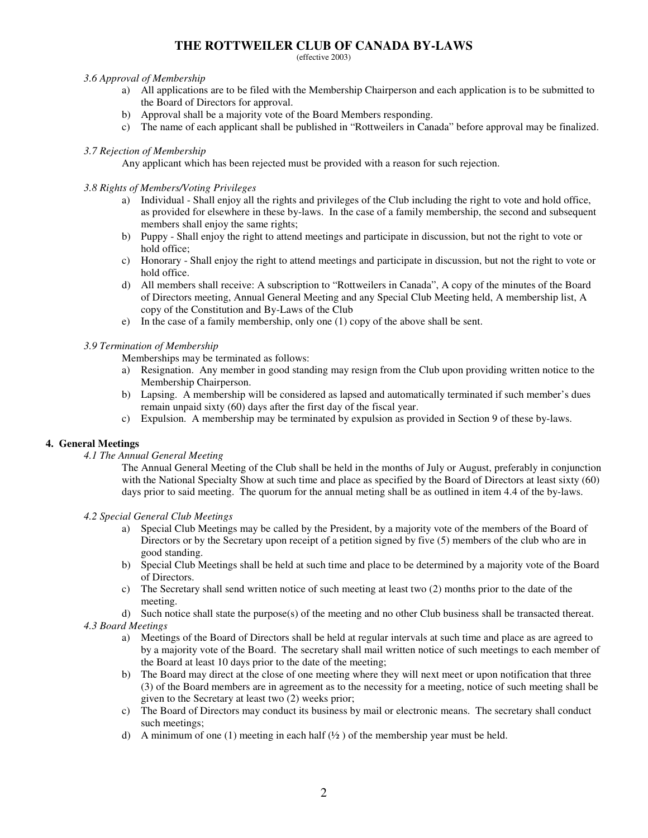(effective 2003)

### *3.6 Approval of Membership*

- a) All applications are to be filed with the Membership Chairperson and each application is to be submitted to the Board of Directors for approval.
- b) Approval shall be a majority vote of the Board Members responding.
- c) The name of each applicant shall be published in "Rottweilers in Canada" before approval may be finalized.

## *3.7 Rejection of Membership*

Any applicant which has been rejected must be provided with a reason for such rejection.

## *3.8 Rights of Members/Voting Privileges*

- a) Individual Shall enjoy all the rights and privileges of the Club including the right to vote and hold office, as provided for elsewhere in these by-laws. In the case of a family membership, the second and subsequent members shall enjoy the same rights;
- b) Puppy Shall enjoy the right to attend meetings and participate in discussion, but not the right to vote or hold office;
- c) Honorary Shall enjoy the right to attend meetings and participate in discussion, but not the right to vote or hold office.
- d) All members shall receive: A subscription to "Rottweilers in Canada", A copy of the minutes of the Board of Directors meeting, Annual General Meeting and any Special Club Meeting held, A membership list, A copy of the Constitution and By-Laws of the Club
- e) In the case of a family membership, only one (1) copy of the above shall be sent.

### *3.9 Termination of Membership*

Memberships may be terminated as follows:

- a) Resignation. Any member in good standing may resign from the Club upon providing written notice to the Membership Chairperson.
- b) Lapsing. A membership will be considered as lapsed and automatically terminated if such member's dues remain unpaid sixty (60) days after the first day of the fiscal year.
- c) Expulsion. A membership may be terminated by expulsion as provided in Section 9 of these by-laws.

## **4. General Meetings**

*4.1 The Annual General Meeting*

The Annual General Meeting of the Club shall be held in the months of July or August, preferably in conjunction with the National Specialty Show at such time and place as specified by the Board of Directors at least sixty (60) days prior to said meeting. The quorum for the annual meting shall be as outlined in item 4.4 of the by-laws.

*4.2 Special General Club Meetings*

- a) Special Club Meetings may be called by the President, by a majority vote of the members of the Board of Directors or by the Secretary upon receipt of a petition signed by five (5) members of the club who are in good standing.
- b) Special Club Meetings shall be held at such time and place to be determined by a majority vote of the Board of Directors.
- c) The Secretary shall send written notice of such meeting at least two (2) months prior to the date of the meeting.
- d) Such notice shall state the purpose(s) of the meeting and no other Club business shall be transacted thereat.

*4.3 Board Meetings*

- a) Meetings of the Board of Directors shall be held at regular intervals at such time and place as are agreed to by a majority vote of the Board. The secretary shall mail written notice of such meetings to each member of the Board at least 10 days prior to the date of the meeting;
- b) The Board may direct at the close of one meeting where they will next meet or upon notification that three (3) of the Board members are in agreement as to the necessity for a meeting, notice of such meeting shall be given to the Secretary at least two (2) weeks prior;
- c) The Board of Directors may conduct its business by mail or electronic means. The secretary shall conduct such meetings;
- d) A minimum of one (1) meeting in each half  $(\frac{1}{2})$  of the membership year must be held.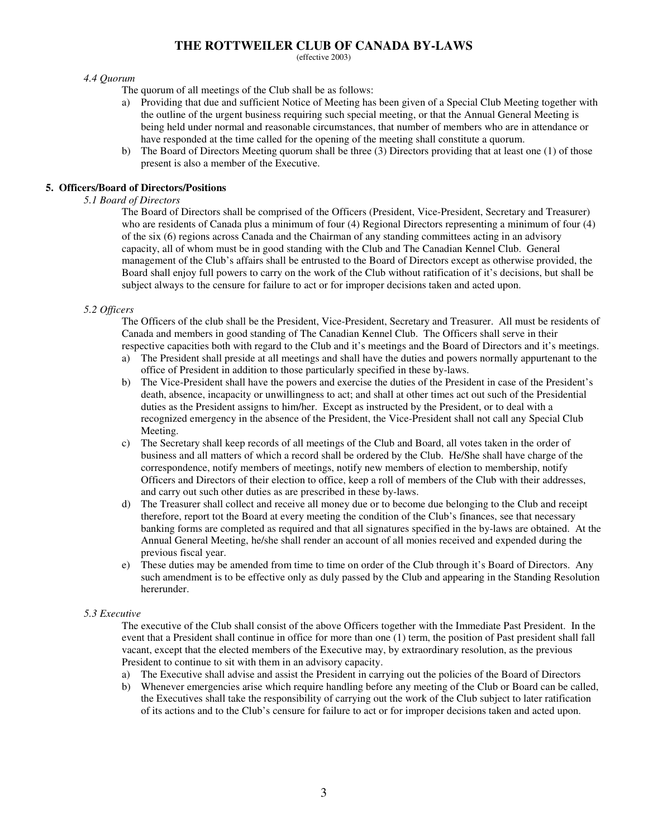(effective 2003)

### *4.4 Quorum*

The quorum of all meetings of the Club shall be as follows:

- a) Providing that due and sufficient Notice of Meeting has been given of a Special Club Meeting together with the outline of the urgent business requiring such special meeting, or that the Annual General Meeting is being held under normal and reasonable circumstances, that number of members who are in attendance or have responded at the time called for the opening of the meeting shall constitute a quorum.
- b) The Board of Directors Meeting quorum shall be three (3) Directors providing that at least one (1) of those present is also a member of the Executive.

## **5. Officers/Board of Directors/Positions**

## *5.1 Board of Directors*

The Board of Directors shall be comprised of the Officers (President, Vice-President, Secretary and Treasurer) who are residents of Canada plus a minimum of four (4) Regional Directors representing a minimum of four (4) of the six (6) regions across Canada and the Chairman of any standing committees acting in an advisory capacity, all of whom must be in good standing with the Club and The Canadian Kennel Club. General management of the Club's affairs shall be entrusted to the Board of Directors except as otherwise provided, the Board shall enjoy full powers to carry on the work of the Club without ratification of it's decisions, but shall be subject always to the censure for failure to act or for improper decisions taken and acted upon.

## *5.2 Officers*

The Officers of the club shall be the President, Vice-President, Secretary and Treasurer. All must be residents of Canada and members in good standing of The Canadian Kennel Club. The Officers shall serve in their respective capacities both with regard to the Club and it's meetings and the Board of Directors and it's meetings.

- a) The President shall preside at all meetings and shall have the duties and powers normally appurtenant to the office of President in addition to those particularly specified in these by-laws.
- b) The Vice-President shall have the powers and exercise the duties of the President in case of the President's death, absence, incapacity or unwillingness to act; and shall at other times act out such of the Presidential duties as the President assigns to him/her. Except as instructed by the President, or to deal with a recognized emergency in the absence of the President, the Vice-President shall not call any Special Club Meeting.
- c) The Secretary shall keep records of all meetings of the Club and Board, all votes taken in the order of business and all matters of which a record shall be ordered by the Club. He/She shall have charge of the correspondence, notify members of meetings, notify new members of election to membership, notify Officers and Directors of their election to office, keep a roll of members of the Club with their addresses, and carry out such other duties as are prescribed in these by-laws.
- d) The Treasurer shall collect and receive all money due or to become due belonging to the Club and receipt therefore, report tot the Board at every meeting the condition of the Club's finances, see that necessary banking forms are completed as required and that all signatures specified in the by-laws are obtained. At the Annual General Meeting, he/she shall render an account of all monies received and expended during the previous fiscal year.
- e) These duties may be amended from time to time on order of the Club through it's Board of Directors. Any such amendment is to be effective only as duly passed by the Club and appearing in the Standing Resolution hererunder.

## *5.3 Executive*

The executive of the Club shall consist of the above Officers together with the Immediate Past President. In the event that a President shall continue in office for more than one (1) term, the position of Past president shall fall vacant, except that the elected members of the Executive may, by extraordinary resolution, as the previous President to continue to sit with them in an advisory capacity.

- a) The Executive shall advise and assist the President in carrying out the policies of the Board of Directors
- b) Whenever emergencies arise which require handling before any meeting of the Club or Board can be called, the Executives shall take the responsibility of carrying out the work of the Club subject to later ratification of its actions and to the Club's censure for failure to act or for improper decisions taken and acted upon.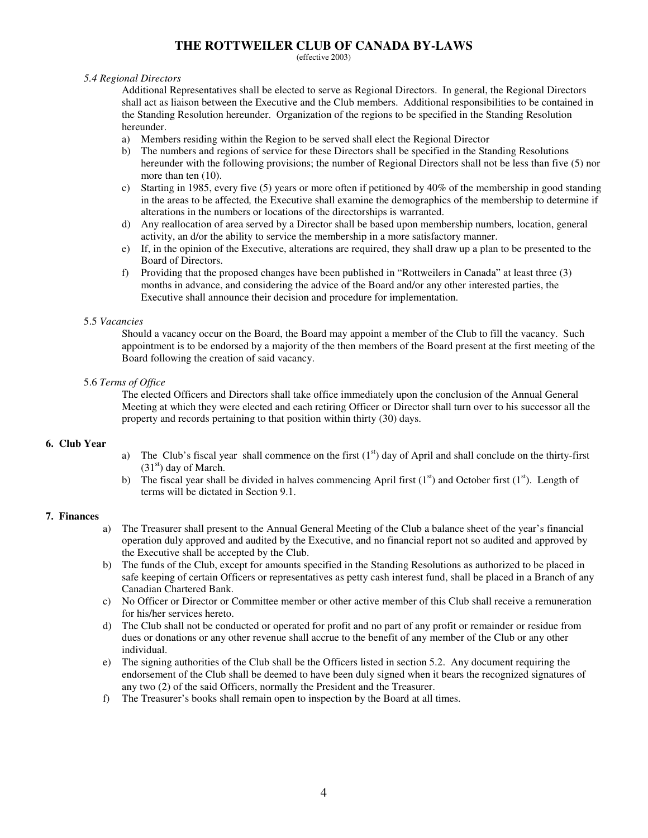(effective 2003)

### *5.4 Regional Directors*

Additional Representatives shall be elected to serve as Regional Directors. In general, the Regional Directors shall act as liaison between the Executive and the Club members. Additional responsibilities to be contained in the Standing Resolution hereunder. Organization of the regions to be specified in the Standing Resolution hereunder.

- a) Members residing within the Region to be served shall elect the Regional Director
- b) The numbers and regions of service for these Directors shall be specified in the Standing Resolutions hereunder with the following provisions; the number of Regional Directors shall not be less than five (5) nor more than ten (10).
- c) Starting in 1985, every five (5) years or more often if petitioned by 40% of the membership in good standing in the areas to be affected*,* the Executive shall examine the demographics of the membership to determine if alterations in the numbers or locations of the directorships is warranted.
- d) Any reallocation of area served by a Director shall be based upon membership numbers*,* location, general activity, an d/or the ability to service the membership in a more satisfactory manner.
- e) If, in the opinion of the Executive, alterations are required, they shall draw up a plan to be presented to the Board of Directors.
- f) Providing that the proposed changes have been published in "Rottweilers in Canada" at least three (3) months in advance, and considering the advice of the Board and/or any other interested parties, the Executive shall announce their decision and procedure for implementation.

### 5.5 *Vacancies*

Should a vacancy occur on the Board, the Board may appoint a member of the Club to fill the vacancy. Such appointment is to be endorsed by a majority of the then members of the Board present at the first meeting of the Board following the creation of said vacancy.

### 5.6 *Terms of Office*

The elected Officers and Directors shall take office immediately upon the conclusion of the Annual General Meeting at which they were elected and each retiring Officer or Director shall turn over to his successor all the property and records pertaining to that position within thirty (30) days.

## **6. Club Year**

- a) The Club's fiscal year shall commence on the first  $(1<sup>st</sup>)$  day of April and shall conclude on the thirty-first (31<sup>st</sup>) day of March.
- b) The fiscal year shall be divided in halves commencing April first  $(1<sup>st</sup>)$  and October first  $(1<sup>st</sup>)$ . Length of terms will be dictated in Section 9.1.

## **7. Finances**

- a) The Treasurer shall present to the Annual General Meeting of the Club a balance sheet of the year's financial operation duly approved and audited by the Executive, and no financial report not so audited and approved by the Executive shall be accepted by the Club.
- b) The funds of the Club, except for amounts specified in the Standing Resolutions as authorized to be placed in safe keeping of certain Officers or representatives as petty cash interest fund, shall be placed in a Branch of any Canadian Chartered Bank.
- c) No Officer or Director or Committee member or other active member of this Club shall receive a remuneration for his/her services hereto.
- d) The Club shall not be conducted or operated for profit and no part of any profit or remainder or residue from dues or donations or any other revenue shall accrue to the benefit of any member of the Club or any other individual.
- e) The signing authorities of the Club shall be the Officers listed in section 5.2. Any document requiring the endorsement of the Club shall be deemed to have been duly signed when it bears the recognized signatures of any two (2) of the said Officers, normally the President and the Treasurer.
- f) The Treasurer's books shall remain open to inspection by the Board at all times.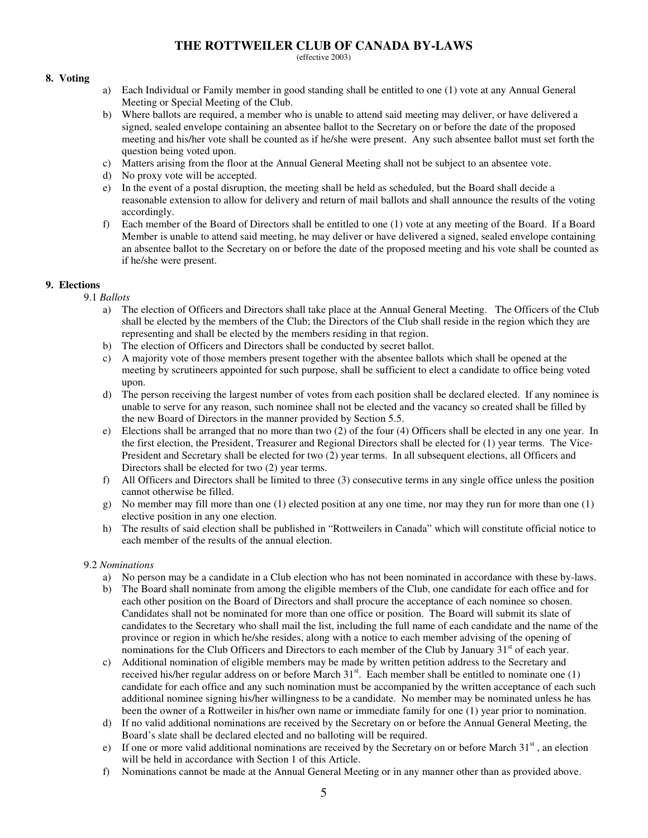(effective 2003)

## **8. Voting**

- a) Each Individual or Family member in good standing shall be entitled to one (1) vote at any Annual General Meeting or Special Meeting of the Club.
- b) Where ballots are required, a member who is unable to attend said meeting may deliver, or have delivered a signed, sealed envelope containing an absentee ballot to the Secretary on or before the date of the proposed meeting and his/her vote shall be counted as if he/she were present. Any such absentee ballot must set forth the question being voted upon.
- c) Matters arising from the floor at the Annual General Meeting shall not be subject to an absentee vote.
- d) No proxy vote will be accepted.
- e) In the event of a postal disruption, the meeting shall be held as scheduled, but the Board shall decide a reasonable extension to allow for delivery and return of mail ballots and shall announce the results of the voting accordingly.
- f) Each member of the Board of Directors shall be entitled to one (1) vote at any meeting of the Board. If a Board Member is unable to attend said meeting, he may deliver or have delivered a signed, sealed envelope containing an absentee ballot to the Secretary on or before the date of the proposed meeting and his vote shall be counted as if he/she were present.

## **9. Elections**

- 9.1 *Ballots*
	- a) The election of Officers and Directors shall take place at the Annual General Meeting. The Officers of the Club shall be elected by the members of the Club; the Directors of the Club shall reside in the region which they are representing and shall be elected by the members residing in that region.
	- b) The election of Officers and Directors shall be conducted by secret ballot.
	- c) A majority vote of those members present together with the absentee ballots which shall be opened at the meeting by scrutineers appointed for such purpose, shall be sufficient to elect a candidate to office being voted upon.
	- d) The person receiving the largest number of votes from each position shall be declared elected. If any nominee is unable to serve for any reason, such nominee shall not be elected and the vacancy so created shall be filled by the new Board of Directors in the manner provided by Section 5.5.
	- e) Elections shall be arranged that no more than two (2) of the four (4) Officers shall be elected in any one year. In the first election, the President, Treasurer and Regional Directors shall be elected for (1) year terms. The Vice-President and Secretary shall be elected for two (2) year terms. In all subsequent elections, all Officers and Directors shall be elected for two (2) year terms.
	- f) All Officers and Directors shall be limited to three (3) consecutive terms in any single office unless the position cannot otherwise be filled.
	- g) No member may fill more than one (1) elected position at any one time, nor may they run for more than one (1) elective position in any one election.
	- h) The results of said election shall be published in "Rottweilers in Canada" which will constitute official notice to each member of the results of the annual election.

## 9.2 *Nominations*

- a) No person may be a candidate in a Club election who has not been nominated in accordance with these by-laws.
- b) The Board shall nominate from among the eligible members of the Club, one candidate for each office and for each other position on the Board of Directors and shall procure the acceptance of each nominee so chosen. Candidates shall not be nominated for more than one office or position. The Board will submit its slate of candidates to the Secretary who shall mail the list, including the full name of each candidate and the name of the province or region in which he/she resides, along with a notice to each member advising of the opening of nominations for the Club Officers and Directors to each member of the Club by January 31<sup>st</sup> of each year.
- c) Additional nomination of eligible members may be made by written petition address to the Secretary and received his/her regular address on or before March 31<sup>st</sup>. Each member shall be entitled to nominate one (1) candidate for each office and any such nomination must be accompanied by the written acceptance of each such additional nominee signing his/her willingness to be a candidate. No member may be nominated unless he has been the owner of a Rottweiler in his/her own name or immediate family for one (1) year prior to nomination.
- d) If no valid additional nominations are received by the Secretary on or before the Annual General Meeting, the Board's slate shall be declared elected and no balloting will be required.
- e) If one or more valid additional nominations are received by the Secretary on or before March 31<sup>st</sup>, an election will be held in accordance with Section 1 of this Article.
- f) Nominations cannot be made at the Annual General Meeting or in any manner other than as provided above.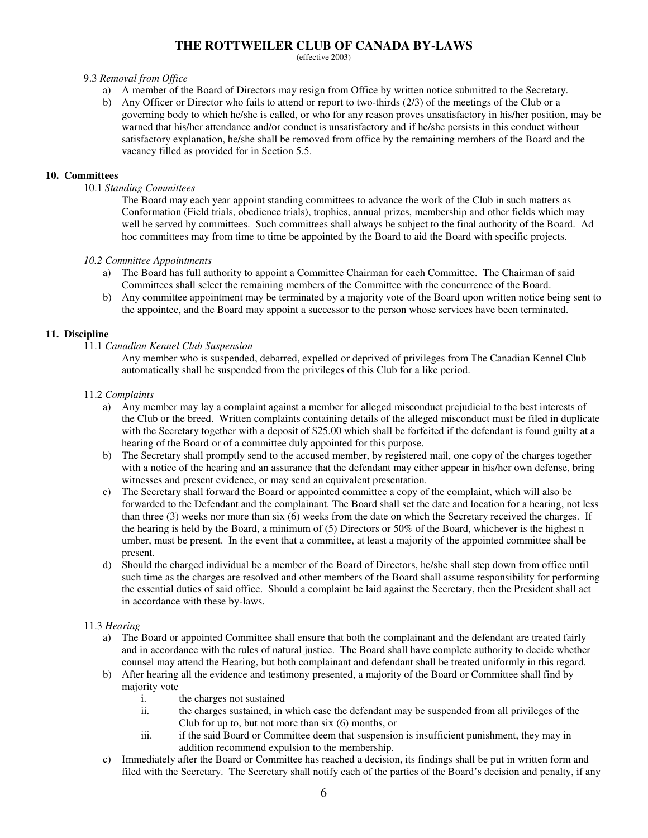(effective 2003)

### 9.3 *Removal from Office*

- a) A member of the Board of Directors may resign from Office by written notice submitted to the Secretary.
- b) Any Officer or Director who fails to attend or report to two-thirds (2/3) of the meetings of the Club or a governing body to which he/she is called, or who for any reason proves unsatisfactory in his/her position, may be warned that his/her attendance and/or conduct is unsatisfactory and if he/she persists in this conduct without satisfactory explanation, he/she shall be removed from office by the remaining members of the Board and the vacancy filled as provided for in Section 5.5.

### **10. Committees**

10.1 *Standing Committees*

The Board may each year appoint standing committees to advance the work of the Club in such matters as Conformation (Field trials, obedience trials), trophies, annual prizes, membership and other fields which may well be served by committees. Such committees shall always be subject to the final authority of the Board. Ad hoc committees may from time to time be appointed by the Board to aid the Board with specific projects.

### *10.2 Committee Appointments*

- a) The Board has full authority to appoint a Committee Chairman for each Committee. The Chairman of said Committees shall select the remaining members of the Committee with the concurrence of the Board.
- b) Any committee appointment may be terminated by a majority vote of the Board upon written notice being sent to the appointee, and the Board may appoint a successor to the person whose services have been terminated.

## **11. Discipline**

11.1 *Canadian Kennel Club Suspension*

Any member who is suspended, debarred, expelled or deprived of privileges from The Canadian Kennel Club automatically shall be suspended from the privileges of this Club for a like period.

#### 11.2 *Complaints*

- a) Any member may lay a complaint against a member for alleged misconduct prejudicial to the best interests of the Club or the breed. Written complaints containing details of the alleged misconduct must be filed in duplicate with the Secretary together with a deposit of \$25.00 which shall be forfeited if the defendant is found guilty at a hearing of the Board or of a committee duly appointed for this purpose.
- b) The Secretary shall promptly send to the accused member, by registered mail, one copy of the charges together with a notice of the hearing and an assurance that the defendant may either appear in his/her own defense, bring witnesses and present evidence, or may send an equivalent presentation.
- c) The Secretary shall forward the Board or appointed committee a copy of the complaint, which will also be forwarded to the Defendant and the complainant. The Board shall set the date and location for a hearing, not less than three (3) weeks nor more than six (6) weeks from the date on which the Secretary received the charges. If the hearing is held by the Board, a minimum of (5) Directors or 50% of the Board, whichever is the highest n umber, must be present. In the event that a committee, at least a majority of the appointed committee shall be present.
- d) Should the charged individual be a member of the Board of Directors, he/she shall step down from office until such time as the charges are resolved and other members of the Board shall assume responsibility for performing the essential duties of said office. Should a complaint be laid against the Secretary, then the President shall act in accordance with these by-laws.

## 11.3 *Hearing*

- a) The Board or appointed Committee shall ensure that both the complainant and the defendant are treated fairly and in accordance with the rules of natural justice. The Board shall have complete authority to decide whether counsel may attend the Hearing, but both complainant and defendant shall be treated uniformly in this regard.
- b) After hearing all the evidence and testimony presented, a majority of the Board or Committee shall find by majority vote
	- i. the charges not sustained
	- ii. the charges sustained, in which case the defendant may be suspended from all privileges of the Club for up to, but not more than six (6) months, or
	- iii. if the said Board or Committee deem that suspension is insufficient punishment, they may in addition recommend expulsion to the membership.
- c) Immediately after the Board or Committee has reached a decision, its findings shall be put in written form and filed with the Secretary. The Secretary shall notify each of the parties of the Board's decision and penalty, if any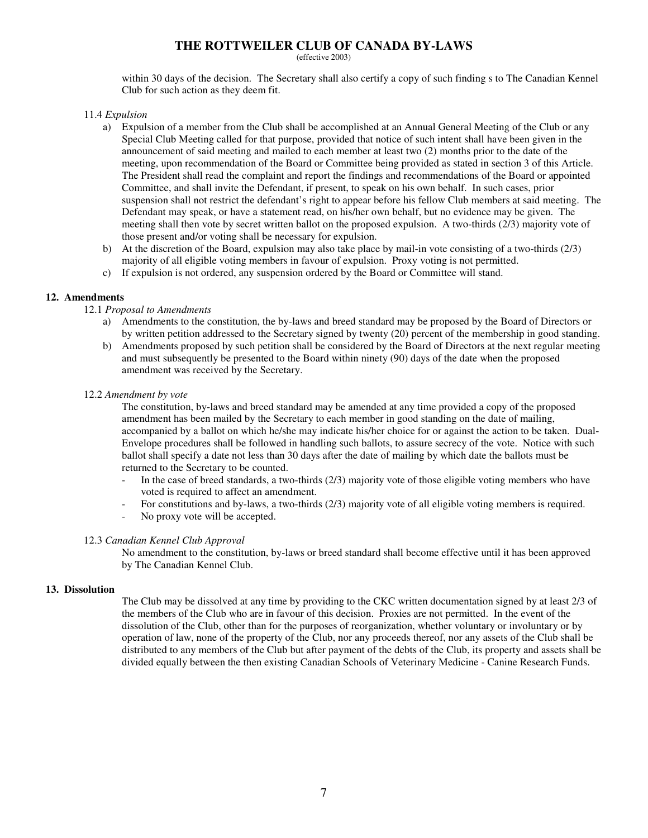(effective 2003)

within 30 days of the decision. The Secretary shall also certify a copy of such finding s to The Canadian Kennel Club for such action as they deem fit.

11.4 *Expulsion*

- a) Expulsion of a member from the Club shall be accomplished at an Annual General Meeting of the Club or any Special Club Meeting called for that purpose, provided that notice of such intent shall have been given in the announcement of said meeting and mailed to each member at least two (2) months prior to the date of the meeting, upon recommendation of the Board or Committee being provided as stated in section 3 of this Article. The President shall read the complaint and report the findings and recommendations of the Board or appointed Committee, and shall invite the Defendant, if present, to speak on his own behalf. In such cases, prior suspension shall not restrict the defendant's right to appear before his fellow Club members at said meeting. The Defendant may speak, or have a statement read, on his/her own behalf, but no evidence may be given. The meeting shall then vote by secret written ballot on the proposed expulsion. A two-thirds (2/3) majority vote of those present and/or voting shall be necessary for expulsion.
- b) At the discretion of the Board, expulsion may also take place by mail-in vote consisting of a two-thirds (2/3) majority of all eligible voting members in favour of expulsion. Proxy voting is not permitted.
- c) If expulsion is not ordered, any suspension ordered by the Board or Committee will stand.

## **12. Amendments**

### 12.1 *Proposal to Amendments*

- a) Amendments to the constitution, the by-laws and breed standard may be proposed by the Board of Directors or by written petition addressed to the Secretary signed by twenty (20) percent of the membership in good standing.
- b) Amendments proposed by such petition shall be considered by the Board of Directors at the next regular meeting and must subsequently be presented to the Board within ninety (90) days of the date when the proposed amendment was received by the Secretary.

### 12.2 *Amendment by vote*

The constitution, by-laws and breed standard may be amended at any time provided a copy of the proposed amendment has been mailed by the Secretary to each member in good standing on the date of mailing, accompanied by a ballot on which he/she may indicate his/her choice for or against the action to be taken. Dual-Envelope procedures shall be followed in handling such ballots, to assure secrecy of the vote. Notice with such ballot shall specify a date not less than 30 days after the date of mailing by which date the ballots must be returned to the Secretary to be counted.

- In the case of breed standards, a two-thirds (2/3) majority vote of those eligible voting members who have voted is required to affect an amendment.
- For constitutions and by-laws, a two-thirds (2/3) majority vote of all eligible voting members is required.
- No proxy vote will be accepted.

## 12.3 *Canadian Kennel Club Approval*

No amendment to the constitution, by-laws or breed standard shall become effective until it has been approved by The Canadian Kennel Club.

#### **13. Dissolution**

The Club may be dissolved at any time by providing to the CKC written documentation signed by at least 2/3 of the members of the Club who are in favour of this decision. Proxies are not permitted. In the event of the dissolution of the Club, other than for the purposes of reorganization, whether voluntary or involuntary or by operation of law, none of the property of the Club, nor any proceeds thereof, nor any assets of the Club shall be distributed to any members of the Club but after payment of the debts of the Club, its property and assets shall be divided equally between the then existing Canadian Schools of Veterinary Medicine - Canine Research Funds.